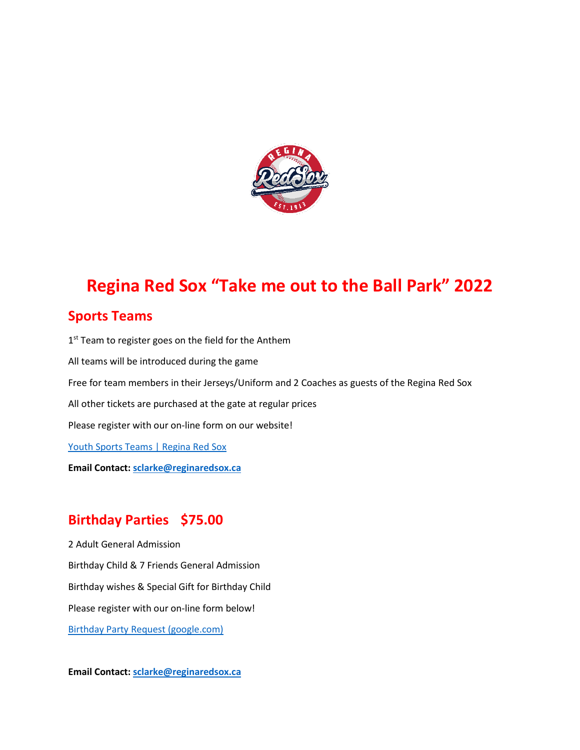

# **Regina Red Sox "Take me out to the Ball Park" 2022**

#### **Sports Teams**

1<sup>st</sup> Team to register goes on the field for the Anthem All teams will be introduced during the game Free for team members in their Jerseys/Uniform and 2 Coaches as guests of the Regina Red Sox All other tickets are purchased at the gate at regular prices Please register with our on-line form on our website! [Youth Sports Teams | Regina Red Sox](https://www.reginaredsox.com/gameday/youth-ball-teams/) **Email Contact: [sclarke@reginaredsox.ca](mailto:sclarke@reginaredsox.ca)**

#### **Birthday Parties \$75.00**

2 Adult General Admission Birthday Child & 7 Friends General Admission Birthday wishes & Special Gift for Birthday Child Please register with our on-line form below! [Birthday Party Request \(google.com\)](https://docs.google.com/forms/d/e/1FAIpQLSfqcp0UMOcMzEmYTeqDp2j4FaJX3EBIzQ4ODwLjRZ-mOYUudw/viewform)

**Email Contact: [sclarke@reginaredsox.ca](mailto:sclarke@reginaredsox.ca)**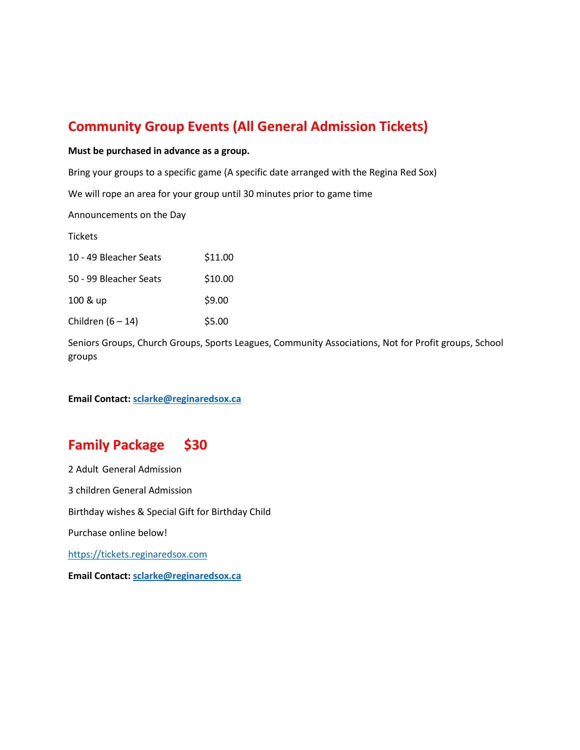### **Community Group Events (All General Admission Tickets)**

**Must be purchased in advance as a group.** 

Bring your groups to a specific game (A specific date arranged with the Regina Red Sox)

We will rope an area for your group until 30 minutes prior to game time

Announcements on the Day

**Tickets** 

| 10 - 49 Bleacher Seats | \$11.00 |
|------------------------|---------|
| 50 - 99 Bleacher Seats | \$10.00 |
| 100 & up               | \$9.00  |
| Children $(6 - 14)$    | \$5.00  |

Seniors Groups, Church Groups, Sports Leagues, Community Associations, Not for Profit groups, School groups

**Email Contact: [sclarke@reginaredsox.ca](mailto:sclarke@reginaredsox.ca)**

#### **Family Package \$30**

2 Adult General Admission 3 children General Admission Birthday wishes & Special Gift for Birthday Child Purchase online below! [https://tickets.reginaredsox.com](https://tickets.reginaredsox.com/) **Email Contact: [sclarke@reginaredsox.ca](mailto:sclarke@reginaredsox.ca)**